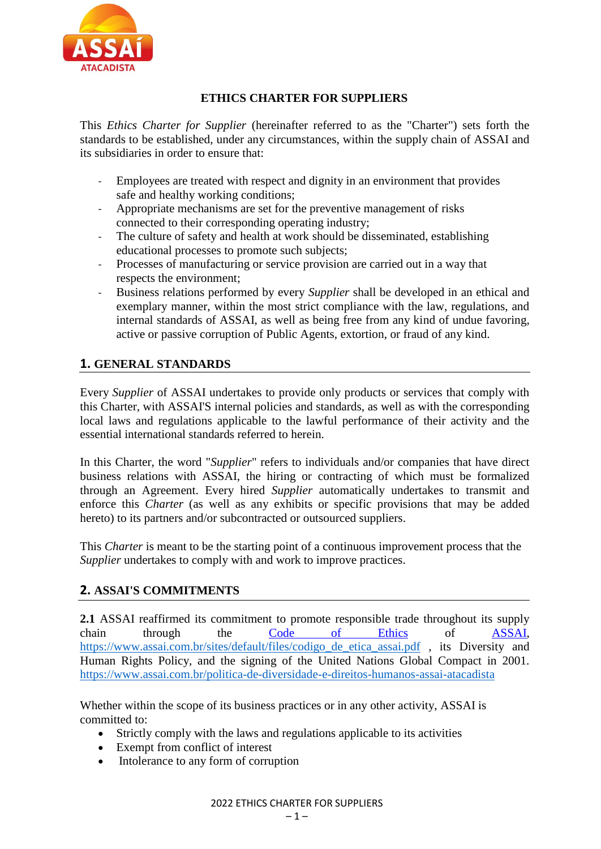

### **ETHICS CHARTER FOR SUPPLIERS**

This *Ethics Charter for Supplier* (hereinafter referred to as the "Charter") sets forth the standards to be established, under any circumstances, within the supply chain of ASSAI and its subsidiaries in order to ensure that:

- Employees are treated with respect and dignity in an environment that provides safe and healthy working conditions;
- Appropriate mechanisms are set for the preventive management of risks connected to their corresponding operating industry;
- The culture of safety and health at work should be disseminated, establishing educational processes to promote such subjects;
- Processes of manufacturing or service provision are carried out in a way that respects the environment;
- Business relations performed by every *Supplier* shall be developed in an ethical and exemplary manner, within the most strict compliance with the law, regulations, and internal standards of ASSAI, as well as being free from any kind of undue favoring, active or passive corruption of Public Agents, extortion, or fraud of any kind.

# **1. GENERAL STANDARDS**

Every *Supplier* of ASSAI undertakes to provide only products or services that comply with this Charter, with ASSAI'S internal policies and standards, as well as with the corresponding local laws and regulations applicable to the lawful performance of their activity and the essential international standards referred to herein.

In this Charter, the word "*Supplier*" refers to individuals and/or companies that have direct business relations with ASSAI, the hiring or contracting of which must be formalized through an Agreement. Every hired *Supplier* automatically undertakes to transmit and enforce this *Charter* (as well as any exhibits or specific provisions that may be added hereto) to its partners and/or subcontracted or outsourced suppliers.

This *Charter* is meant to be the starting point of a continuous improvement process that the *Supplier* undertakes to comply with and work to improve practices.

# **2. ASSAI'S COMMITMENTS**

**2.1** ASSAI reaffirmed its commitment to promote responsible trade throughout its supply chain through the [Code of Ethics](http://www.gpabr.com/wp-content/uploads/2016/10/LO_CodigoCondutaEtica_GPA_vsDigital_PoliticasEspecificas_externo.pdf) of ASSAI, [https://www.assai.com.br/sites/default/files/codigo\\_de\\_etica\\_assai.pdf](https://www.assai.com.br/sites/default/files/codigo_de_etica_assai.pdf) , its Diversity and Human Rights Policy, and the signing of the United Nations Global Compact in 2001. [https://www.assai.com.br/politica-de-diversidade-e-direitos-humanos-assai-atacadista](http://www.assai.com.br/politica-de-diversidade-e-direitos-humanos-assai-atacadista)

Whether within the scope of its business practices or in any other activity, ASSAI is committed to:

- Strictly comply with the laws and regulations applicable to its activities
- Exempt from conflict of interest
- Intolerance to any form of corruption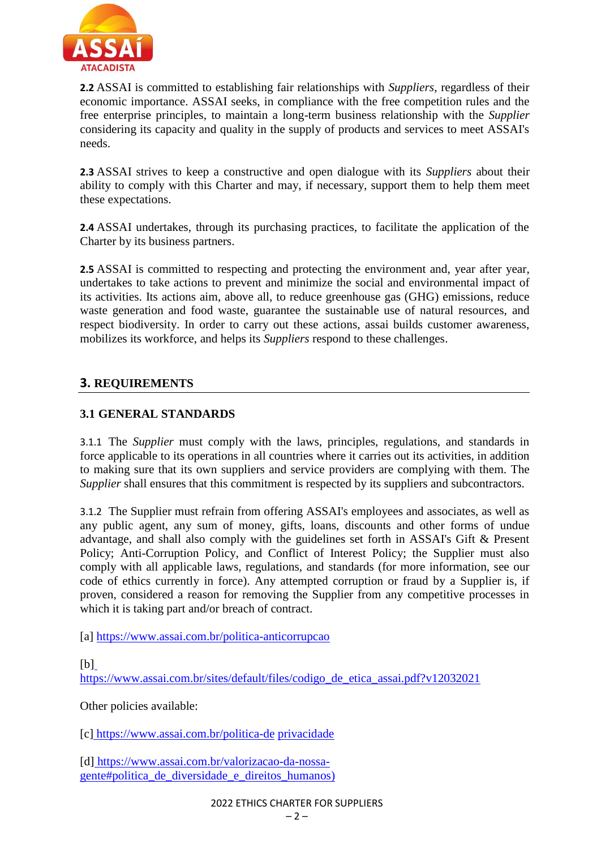

**2.2** ASSAI is committed to establishing fair relationships with *Suppliers*, regardless of their economic importance. ASSAI seeks, in compliance with the free competition rules and the free enterprise principles, to maintain a long-term business relationship with the *Supplier* considering its capacity and quality in the supply of products and services to meet ASSAI's needs.

**2.3** ASSAI strives to keep a constructive and open dialogue with its *Suppliers* about their ability to comply with this Charter and may, if necessary, support them to help them meet these expectations.

**2.4** ASSAI undertakes, through its purchasing practices, to facilitate the application of the Charter by its business partners.

**2.5** ASSAI is committed to respecting and protecting the environment and, year after year, undertakes to take actions to prevent and minimize the social and environmental impact of its activities. Its actions aim, above all, to reduce greenhouse gas (GHG) emissions, reduce waste generation and food waste, guarantee the sustainable use of natural resources, and respect biodiversity. In order to carry out these actions, assai builds customer awareness, mobilizes its workforce, and helps its *Suppliers* respond to these challenges.

# **3. REQUIREMENTS**

#### **3.1 GENERAL STANDARDS**

3.1.1 The *Supplier* must comply with the laws, principles, regulations, and standards in force applicable to its operations in all countries where it carries out its activities, in addition to making sure that its own suppliers and service providers are complying with them. The *Supplier* shall ensures that this commitment is respected by its suppliers and subcontractors.

3.1.2 The Supplier must refrain from offering ASSAI's employees and associates, as well as any public agent, any sum of money, gifts, loans, discounts and other forms of undue advantage, and shall also comply with the guidelines set forth in ASSAI's Gift & Present Policy; Anti-Corruption Policy, and Conflict of Interest Policy; the Supplier must also comply with all applicable laws, regulations, and standards (for more information, see our code of ethics currently in force). Any attempted corruption or fraud by a Supplier is, if proven, considered a reason for removing the Supplier from any competitive processes in which it is taking part and/or breach of contract.

[a]<https://www.assai.com.br/politica-anticorrupcao>

 $[b]$ 

[https://www.assai.com.br/sites/default/files/codigo\\_de\\_etica\\_assai.pdf?v12032021](https://www.assai.com.br/sites/default/files/codigo_de_etica_assai.pdf?v12032021)

Other policies available:

[c] h[ttps://ww](http://www.assai.com.br/politica-de)w.assai.com.br/politica-de privacidade

[d] https://www.assai.com.br/valorizacao-da-nossagente#politica\_de\_diversidade\_e\_direitos\_humanos)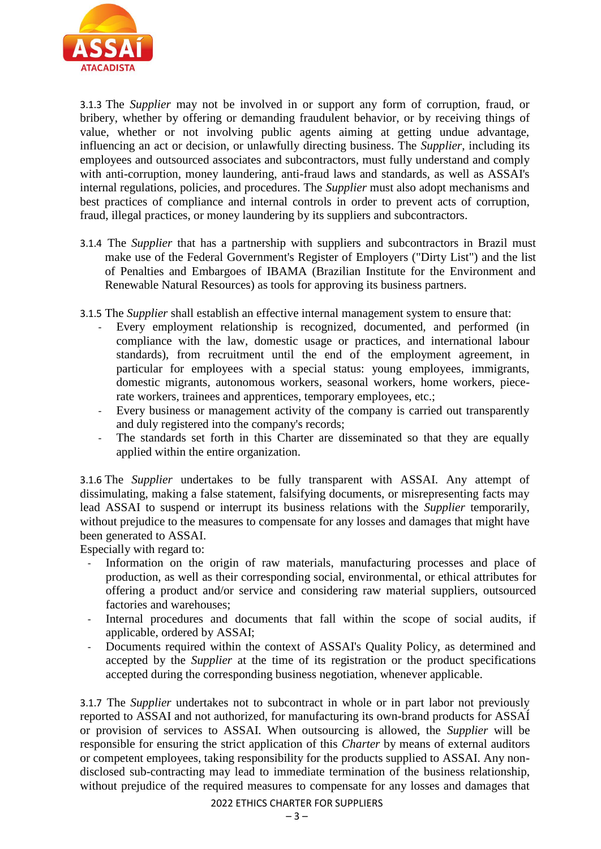

3.1.3 The *Supplier* may not be involved in or support any form of corruption, fraud, or bribery, whether by offering or demanding fraudulent behavior, or by receiving things of value, whether or not involving public agents aiming at getting undue advantage, influencing an act or decision, or unlawfully directing business. The *Supplier*, including its employees and outsourced associates and subcontractors, must fully understand and comply with anti-corruption, money laundering, anti-fraud laws and standards, as well as ASSAI's internal regulations, policies, and procedures. The *Supplier* must also adopt mechanisms and best practices of compliance and internal controls in order to prevent acts of corruption, fraud, illegal practices, or money laundering by its suppliers and subcontractors.

- 3.1.4 The *Supplier* that has a partnership with suppliers and subcontractors in Brazil must make use of the Federal Government's Register of Employers ("Dirty List") and the list of Penalties and Embargoes of IBAMA (Brazilian Institute for the Environment and Renewable Natural Resources) as tools for approving its business partners.
- 3.1.5 The *Supplier* shall establish an effective internal management system to ensure that:
	- Every employment relationship is recognized, documented, and performed (in compliance with the law, domestic usage or practices, and international labour standards), from recruitment until the end of the employment agreement, in particular for employees with a special status: young employees, immigrants, domestic migrants, autonomous workers, seasonal workers, home workers, piecerate workers, trainees and apprentices, temporary employees, etc.;
	- Every business or management activity of the company is carried out transparently and duly registered into the company's records;
	- The standards set forth in this Charter are disseminated so that they are equally applied within the entire organization.

3.1.6 The *Supplier* undertakes to be fully transparent with ASSAI. Any attempt of dissimulating, making a false statement, falsifying documents, or misrepresenting facts may lead ASSAI to suspend or interrupt its business relations with the *Supplier* temporarily, without prejudice to the measures to compensate for any losses and damages that might have been generated to ASSAI.

Especially with regard to:

- Information on the origin of raw materials, manufacturing processes and place of production, as well as their corresponding social, environmental, or ethical attributes for offering a product and/or service and considering raw material suppliers, outsourced factories and warehouses;
- Internal procedures and documents that fall within the scope of social audits, if applicable, ordered by ASSAI;
- Documents required within the context of ASSAI's Quality Policy, as determined and accepted by the *Supplier* at the time of its registration or the product specifications accepted during the corresponding business negotiation, whenever applicable.

3.1.7 The *Supplier* undertakes not to subcontract in whole or in part labor not previously reported to ASSAI and not authorized, for manufacturing its own-brand products for ASSAÍ or provision of services to ASSAI. When outsourcing is allowed, the *Supplier* will be responsible for ensuring the strict application of this *Charter* by means of external auditors or competent employees, taking responsibility for the products supplied to ASSAI. Any nondisclosed sub-contracting may lead to immediate termination of the business relationship, without prejudice of the required measures to compensate for any losses and damages that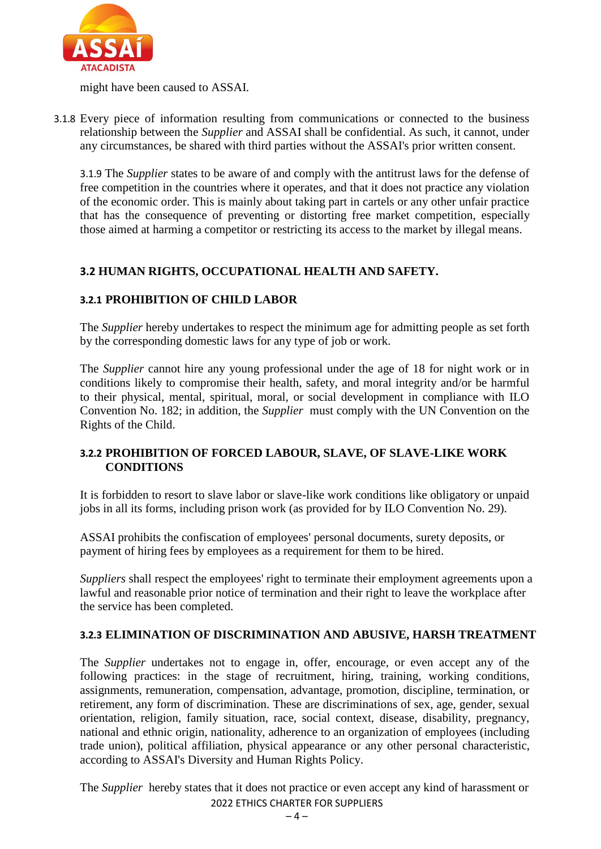

might have been caused to ASSAI.

3.1.8 Every piece of information resulting from communications or connected to the business relationship between the *Supplier* and ASSAI shall be confidential. As such, it cannot, under any circumstances, be shared with third parties without the ASSAI's prior written consent.

3.1.9 The *Supplier* states to be aware of and comply with the antitrust laws for the defense of free competition in the countries where it operates, and that it does not practice any violation of the economic order. This is mainly about taking part in cartels or any other unfair practice that has the consequence of preventing or distorting free market competition, especially those aimed at harming a competitor or restricting its access to the market by illegal means.

## **3.2 HUMAN RIGHTS, OCCUPATIONAL HEALTH AND SAFETY.**

#### **3.2.1 PROHIBITION OF CHILD LABOR**

The *Supplier* hereby undertakes to respect the minimum age for admitting people as set forth by the corresponding domestic laws for any type of job or work.

The *Supplier* cannot hire any young professional under the age of 18 for night work or in conditions likely to compromise their health, safety, and moral integrity and/or be harmful to their physical, mental, spiritual, moral, or social development in compliance with ILO Convention No. 182; in addition, the *Supplier* must comply with the UN Convention on the Rights of the Child.

#### **3.2.2 PROHIBITION OF FORCED LABOUR, SLAVE, OF SLAVE-LIKE WORK CONDITIONS**

It is forbidden to resort to slave labor or slave-like work conditions like obligatory or unpaid jobs in all its forms, including prison work (as provided for by ILO Convention No. 29).

ASSAI prohibits the confiscation of employees' personal documents, surety deposits, or payment of hiring fees by employees as a requirement for them to be hired.

*Suppliers* shall respect the employees' right to terminate their employment agreements upon a lawful and reasonable prior notice of termination and their right to leave the workplace after the service has been completed.

#### **3.2.3 ELIMINATION OF DISCRIMINATION AND ABUSIVE, HARSH TREATMENT**

The *Supplier* undertakes not to engage in, offer, encourage, or even accept any of the following practices: in the stage of recruitment, hiring, training, working conditions, assignments, remuneration, compensation, advantage, promotion, discipline, termination, or retirement, any form of discrimination. These are discriminations of sex, age, gender, sexual orientation, religion, family situation, race, social context, disease, disability, pregnancy, national and ethnic origin, nationality, adherence to an organization of employees (including trade union), political affiliation, physical appearance or any other personal characteristic, according to ASSAI's Diversity and Human Rights Policy.

2022 ETHICS CHARTER FOR SUPPLIERS The *Supplier* hereby states that it does not practice or even accept any kind of harassment or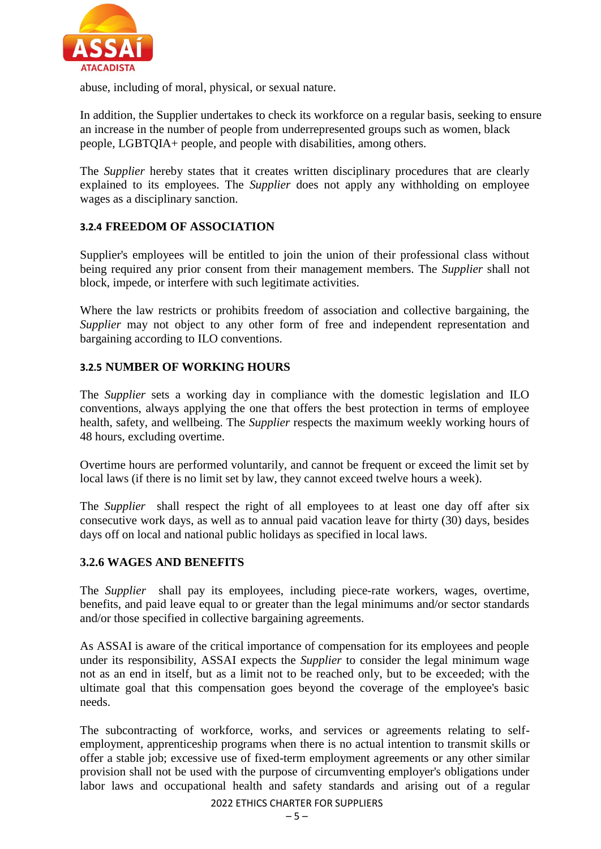

abuse, including of moral, physical, or sexual nature.

In addition, the Supplier undertakes to check its workforce on a regular basis, seeking to ensure an increase in the number of people from underrepresented groups such as women, black people, LGBTQIA+ people, and people with disabilities, among others.

The *Supplier* hereby states that it creates written disciplinary procedures that are clearly explained to its employees. The *Supplier* does not apply any withholding on employee wages as a disciplinary sanction.

#### **3.2.4 FREEDOM OF ASSOCIATION**

Supplier's employees will be entitled to join the union of their professional class without being required any prior consent from their management members. The *Supplier* shall not block, impede, or interfere with such legitimate activities.

Where the law restricts or prohibits freedom of association and collective bargaining, the *Supplier* may not object to any other form of free and independent representation and bargaining according to ILO conventions.

#### **3.2.5 NUMBER OF WORKING HOURS**

The *Supplier* sets a working day in compliance with the domestic legislation and ILO conventions, always applying the one that offers the best protection in terms of employee health, safety, and wellbeing. The *Supplier* respects the maximum weekly working hours of 48 hours, excluding overtime.

Overtime hours are performed voluntarily, and cannot be frequent or exceed the limit set by local laws (if there is no limit set by law, they cannot exceed twelve hours a week).

The *Supplier* shall respect the right of all employees to at least one day off after six consecutive work days, as well as to annual paid vacation leave for thirty (30) days, besides days off on local and national public holidays as specified in local laws.

#### **3.2.6 WAGES AND BENEFITS**

The *Supplier* shall pay its employees, including piece-rate workers, wages, overtime, benefits, and paid leave equal to or greater than the legal minimums and/or sector standards and/or those specified in collective bargaining agreements.

As ASSAI is aware of the critical importance of compensation for its employees and people under its responsibility, ASSAI expects the *Supplier* to consider the legal minimum wage not as an end in itself, but as a limit not to be reached only, but to be exceeded; with the ultimate goal that this compensation goes beyond the coverage of the employee's basic needs.

The subcontracting of workforce, works, and services or agreements relating to selfemployment, apprenticeship programs when there is no actual intention to transmit skills or offer a stable job; excessive use of fixed-term employment agreements or any other similar provision shall not be used with the purpose of circumventing employer's obligations under labor laws and occupational health and safety standards and arising out of a regular

2022 ETHICS CHARTER FOR SUPPLIERS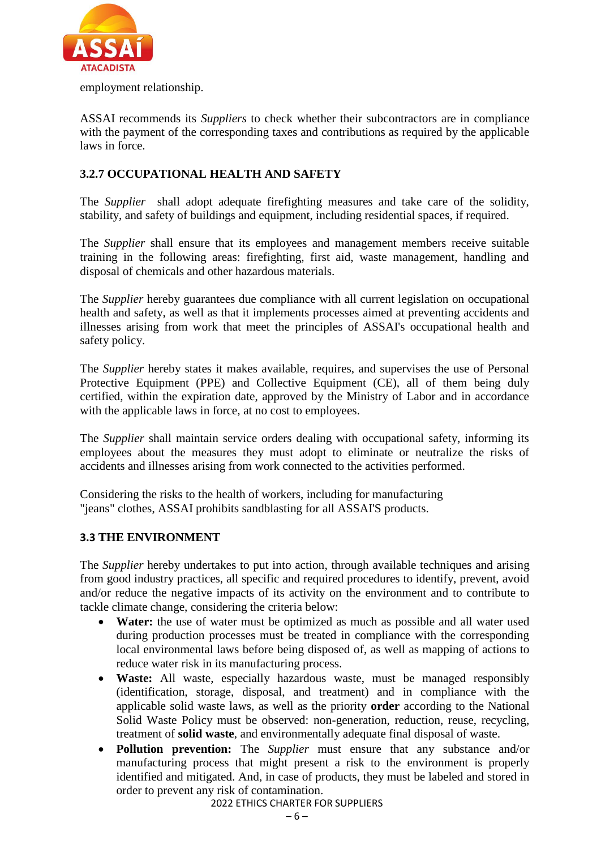

employment relationship.

ASSAI recommends its *Suppliers* to check whether their subcontractors are in compliance with the payment of the corresponding taxes and contributions as required by the applicable laws in force.

#### **3.2.7 OCCUPATIONAL HEALTH AND SAFETY**

The *Supplier* shall adopt adequate firefighting measures and take care of the solidity, stability, and safety of buildings and equipment, including residential spaces, if required.

The *Supplier* shall ensure that its employees and management members receive suitable training in the following areas: firefighting, first aid, waste management, handling and disposal of chemicals and other hazardous materials.

The *Supplier* hereby guarantees due compliance with all current legislation on occupational health and safety, as well as that it implements processes aimed at preventing accidents and illnesses arising from work that meet the principles of ASSAI's occupational health and safety policy.

The *Supplier* hereby states it makes available, requires, and supervises the use of Personal Protective Equipment (PPE) and Collective Equipment (CE), all of them being duly certified, within the expiration date, approved by the Ministry of Labor and in accordance with the applicable laws in force, at no cost to employees.

The *Supplier* shall maintain service orders dealing with occupational safety, informing its employees about the measures they must adopt to eliminate or neutralize the risks of accidents and illnesses arising from work connected to the activities performed.

Considering the risks to the health of workers, including for manufacturing "jeans" clothes, ASSAI prohibits sandblasting for all ASSAI'S products.

#### **3.3 THE ENVIRONMENT**

The *Supplier* hereby undertakes to put into action, through available techniques and arising from good industry practices, all specific and required procedures to identify, prevent, avoid and/or reduce the negative impacts of its activity on the environment and to contribute to tackle climate change, considering the criteria below:

- Water: the use of water must be optimized as much as possible and all water used during production processes must be treated in compliance with the corresponding local environmental laws before being disposed of, as well as mapping of actions to reduce water risk in its manufacturing process.
- **Waste:** All waste, especially hazardous waste, must be managed responsibly (identification, storage, disposal, and treatment) and in compliance with the applicable solid waste laws, as well as the priority **order** according to the National Solid Waste Policy must be observed: non-generation, reduction, reuse, recycling, treatment of **solid waste**, and environmentally adequate final disposal of waste.
- **Pollution prevention:** The *Supplier* must ensure that any substance and/or manufacturing process that might present a risk to the environment is properly identified and mitigated. And, in case of products, they must be labeled and stored in order to prevent any risk of contamination.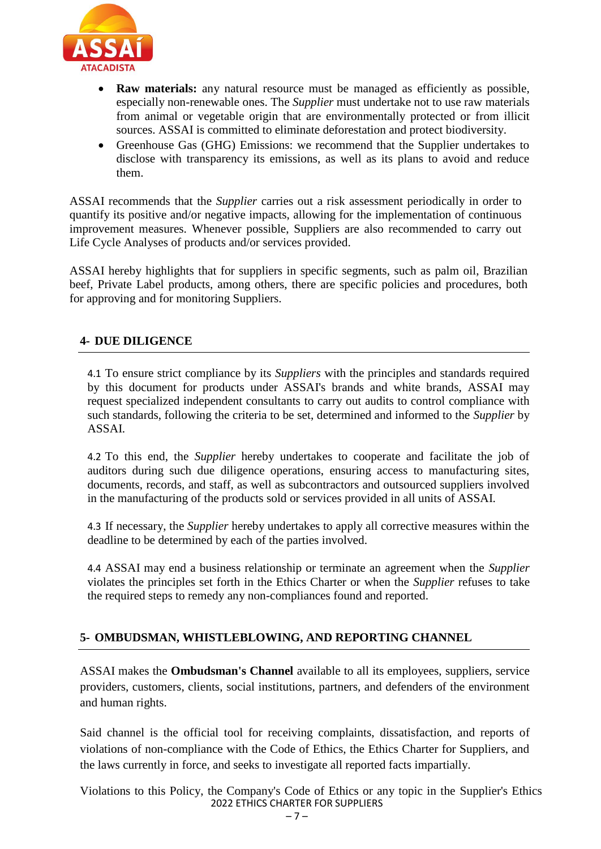

- **Raw materials:** any natural resource must be managed as efficiently as possible, especially non-renewable ones. The *Supplier* must undertake not to use raw materials from animal or vegetable origin that are environmentally protected or from illicit sources. ASSAI is committed to eliminate deforestation and protect biodiversity.
- Greenhouse Gas (GHG) Emissions: we recommend that the Supplier undertakes to disclose with transparency its emissions, as well as its plans to avoid and reduce them.

ASSAI recommends that the *Supplier* carries out a risk assessment periodically in order to quantify its positive and/or negative impacts, allowing for the implementation of continuous improvement measures. Whenever possible, Suppliers are also recommended to carry out Life Cycle Analyses of products and/or services provided.

ASSAI hereby highlights that for suppliers in specific segments, such as palm oil, Brazilian beef, Private Label products, among others, there are specific policies and procedures, both for approving and for monitoring Suppliers.

#### **4- DUE DILIGENCE**

4.1 To ensure strict compliance by its *Suppliers* with the principles and standards required by this document for products under ASSAI's brands and white brands, ASSAI may request specialized independent consultants to carry out audits to control compliance with such standards, following the criteria to be set, determined and informed to the *Supplier* by ASSAI.

4.2 To this end, the *Supplier* hereby undertakes to cooperate and facilitate the job of auditors during such due diligence operations, ensuring access to manufacturing sites, documents, records, and staff, as well as subcontractors and outsourced suppliers involved in the manufacturing of the products sold or services provided in all units of ASSAI.

4.3 If necessary, the *Supplier* hereby undertakes to apply all corrective measures within the deadline to be determined by each of the parties involved.

4.4 ASSAI may end a business relationship or terminate an agreement when the *Supplier*  violates the principles set forth in the Ethics Charter or when the *Supplier* refuses to take the required steps to remedy any non-compliances found and reported.

# **5- OMBUDSMAN, WHISTLEBLOWING, AND REPORTING CHANNEL**

ASSAI makes the **Ombudsman's Channel** available to all its employees, suppliers, service providers, customers, clients, social institutions, partners, and defenders of the environment and human rights.

Said channel is the official tool for receiving complaints, dissatisfaction, and reports of violations of non-compliance with the Code of Ethics, the Ethics Charter for Suppliers, and the laws currently in force, and seeks to investigate all reported facts impartially.

2022 ETHICS CHARTER FOR SUPPLIERS Violations to this Policy, the Company's Code of Ethics or any topic in the Supplier's Ethics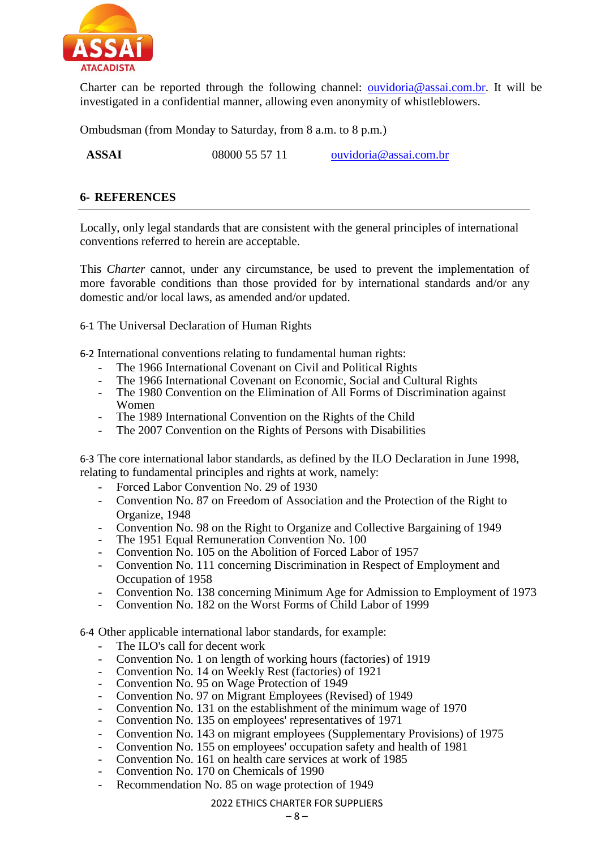

Charter can be reported through the following channel: [ouvidoria@assai.com.br.](file:///C:/Users/4611330/AppData/Local/Microsoft/Windows/INetCache/Content.Outlook/0RCQ493U/ouvidoria@assai.com.br) It will be investigated in a confidential manner, allowing even anonymity of whistleblowers.

Ombudsman (from Monday to Saturday, from 8 a.m. to 8 p.m.)

**ASSAI** 08000 55 57 11 [ouvidoria@assai.com.br](mailto:ouvidoria@assai.com.br)

#### **6- REFERENCES**

Locally, only legal standards that are consistent with the general principles of international conventions referred to herein are acceptable.

This *Charter* cannot, under any circumstance, be used to prevent the implementation of more favorable conditions than those provided for by international standards and/or any domestic and/or local laws, as amended and/or updated.

6-1 The Universal Declaration of Human Rights

6-2 International conventions relating to fundamental human rights:

- The 1966 International Covenant on Civil and Political Rights
- The 1966 International Covenant on Economic, Social and Cultural Rights
- The 1980 Convention on the Elimination of All Forms of Discrimination against Women
- The 1989 International Convention on the Rights of the Child
- The 2007 Convention on the Rights of Persons with Disabilities

6-3 The core international labor standards, as defined by the ILO Declaration in June 1998, relating to fundamental principles and rights at work, namely:

- Forced Labor Convention No. 29 of 1930
- Convention No. 87 on Freedom of Association and the Protection of the Right to Organize, 1948
- Convention No. 98 on the Right to Organize and Collective Bargaining of 1949
- The 1951 Equal Remuneration Convention No. 100
- Convention No. 105 on the Abolition of Forced Labor of 1957
- Convention No. 111 concerning Discrimination in Respect of Employment and Occupation of 1958
- Convention No. 138 concerning Minimum Age for Admission to Employment of 1973
- Convention No. 182 on the Worst Forms of Child Labor of 1999

6-4 Other applicable international labor standards, for example:

- The ILO's call for decent work
- Convention No. 1 on length of working hours (factories) of 1919
- Convention No. 14 on Weekly Rest (factories) of 1921
- Convention No. 95 on Wage Protection of 1949
- Convention No. 97 on Migrant Employees (Revised) of 1949
- Convention No. 131 on the establishment of the minimum wage of 1970
- Convention No. 135 on employees' representatives of 1971
- Convention No. 143 on migrant employees (Supplementary Provisions) of 1975
- Convention No. 155 on employees' occupation safety and health of 1981
- Convention No. 161 on health care services at work of 1985
- Convention No. 170 on Chemicals of 1990
- Recommendation No. 85 on wage protection of 1949

#### 2022 ETHICS CHARTER FOR SUPPLIERS